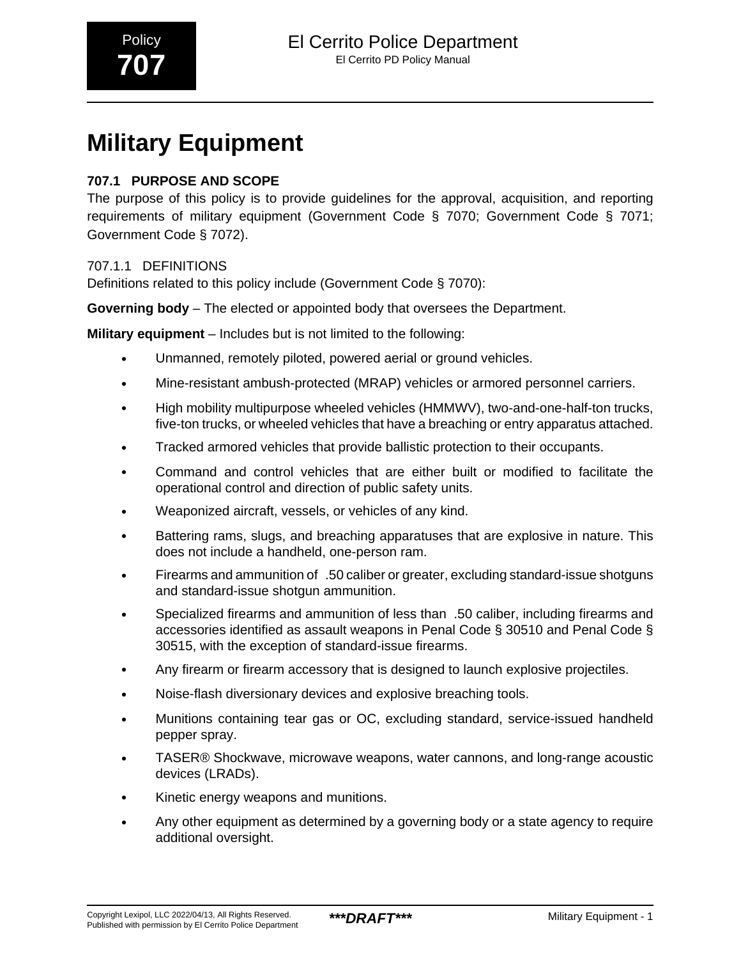# **Military Equipment**

## **707.1 PURPOSE AND SCOPE**

The purpose of this policy is to provide guidelines for the approval, acquisition, and reporting requirements of military equipment (Government Code § 7070; Government Code § 7071; Government Code § 7072).

## 707.1.1 DEFINITIONS

Definitions related to this policy include (Government Code § 7070):

**Governing body** – The elected or appointed body that oversees the Department.

**Military equipment** – Includes but is not limited to the following:

- Unmanned, remotely piloted, powered aerial or ground vehicles.
- Mine-resistant ambush-protected (MRAP) vehicles or armored personnel carriers.
- High mobility multipurpose wheeled vehicles (HMMWV), two-and-one-half-ton trucks, five-ton trucks, or wheeled vehicles that have a breaching or entry apparatus attached.
- Tracked armored vehicles that provide ballistic protection to their occupants.
- Command and control vehicles that are either built or modified to facilitate the operational control and direction of public safety units.
- Weaponized aircraft, vessels, or vehicles of any kind.
- Battering rams, slugs, and breaching apparatuses that are explosive in nature. This does not include a handheld, one-person ram.
- Firearms and ammunition of\_.50 caliber or greater, excluding standard-issue shotguns and standard-issue shotgun ammunition.
- Specialized firearms and ammunition of less than\_.50 caliber, including firearms and accessories identified as assault weapons in Penal Code § 30510 and Penal Code § 30515, with the exception of standard-issue firearms.
- Any firearm or firearm accessory that is designed to launch explosive projectiles.
- Noise-flash diversionary devices and explosive breaching tools.
- Munitions containing tear gas or OC, excluding standard, service-issued handheld pepper spray.
- TASER® Shockwave, microwave weapons, water cannons, and long-range acoustic devices (LRADs).
- Kinetic energy weapons and munitions.
- Any other equipment as determined by a governing body or a state agency to require additional oversight.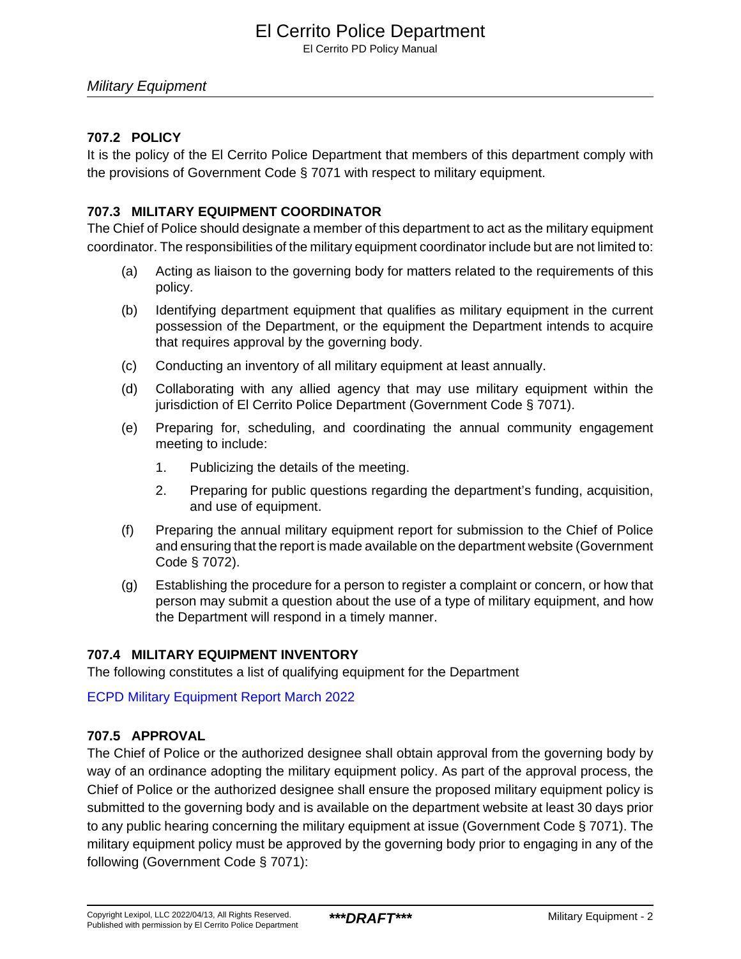## El Cerrito Police Department

El Cerrito PD Policy Manual

## Military Equipment

## **707.2 POLICY**

It is the policy of the El Cerrito Police Department that members of this department comply with the provisions of Government Code § 7071 with respect to military equipment.

## **707.3 MILITARY EQUIPMENT COORDINATOR**

The Chief of Police should designate a member of this department to act as the military equipment coordinator. The responsibilities of the military equipment coordinator include but are not limited to:

- (a) Acting as liaison to the governing body for matters related to the requirements of this policy.
- (b) Identifying department equipment that qualifies as military equipment in the current possession of the Department, or the equipment the Department intends to acquire that requires approval by the governing body.
- (c) Conducting an inventory of all military equipment at least annually.
- (d) Collaborating with any allied agency that may use military equipment within the jurisdiction of El Cerrito Police Department (Government Code § 7071).
- (e) Preparing for, scheduling, and coordinating the annual community engagement meeting to include:
	- 1. Publicizing the details of the meeting.
	- 2. Preparing for public questions regarding the department's funding, acquisition, and use of equipment.
- (f) Preparing the annual military equipment report for submission to the Chief of Police and ensuring that the report is made available on the department website (Government Code § 7072).
- (g) Establishing the procedure for a person to register a complaint or concern, or how that person may submit a question about the use of a type of military equipment, and how the Department will respond in a timely manner.

## **707.4 MILITARY EQUIPMENT INVENTORY**

The following constitutes a list of qualifying equipment for the Department

[ECPD Military Equipment Report March 2022](#page-5-0)

## **707.5 APPROVAL**

The Chief of Police or the authorized designee shall obtain approval from the governing body by way of an ordinance adopting the military equipment policy. As part of the approval process, the Chief of Police or the authorized designee shall ensure the proposed military equipment policy is submitted to the governing body and is available on the department website at least 30 days prior to any public hearing concerning the military equipment at issue (Government Code § 7071). The military equipment policy must be approved by the governing body prior to engaging in any of the following (Government Code § 7071):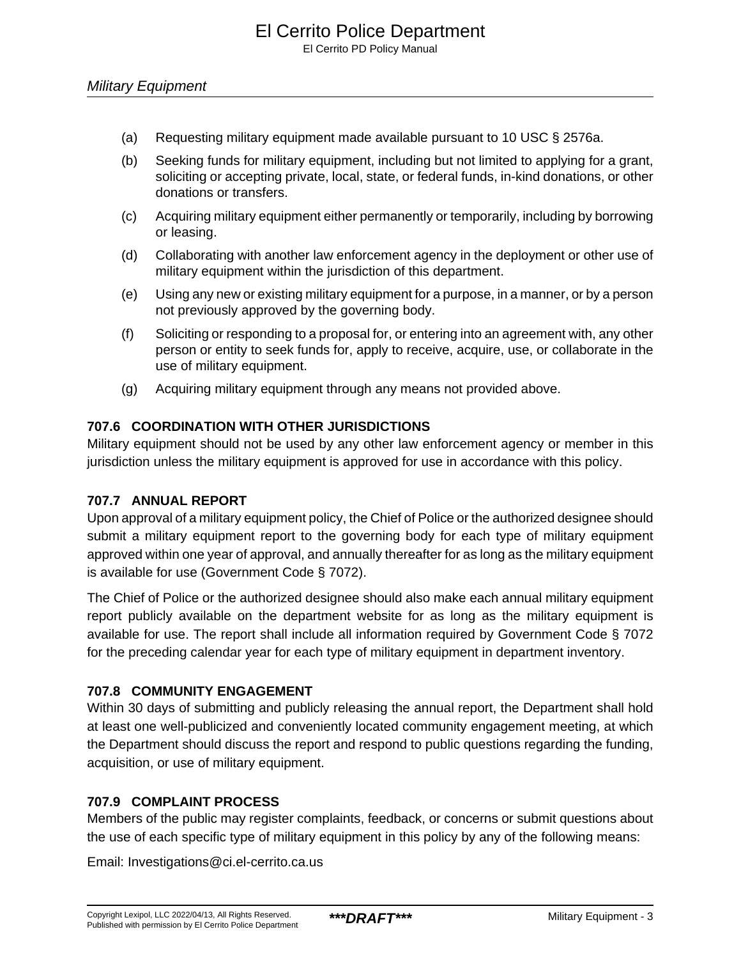- (a) Requesting military equipment made available pursuant to 10 USC § 2576a.
- (b) Seeking funds for military equipment, including but not limited to applying for a grant, soliciting or accepting private, local, state, or federal funds, in-kind donations, or other donations or transfers.
- (c) Acquiring military equipment either permanently or temporarily, including by borrowing or leasing.
- (d) Collaborating with another law enforcement agency in the deployment or other use of military equipment within the jurisdiction of this department.
- (e) Using any new or existing military equipment for a purpose, in a manner, or by a person not previously approved by the governing body.
- (f) Soliciting or responding to a proposal for, or entering into an agreement with, any other person or entity to seek funds for, apply to receive, acquire, use, or collaborate in the use of military equipment.
- (g) Acquiring military equipment through any means not provided above.

## **707.6 COORDINATION WITH OTHER JURISDICTIONS**

Military equipment should not be used by any other law enforcement agency or member in this jurisdiction unless the military equipment is approved for use in accordance with this policy.

## **707.7 ANNUAL REPORT**

Upon approval of a military equipment policy, the Chief of Police or the authorized designee should submit a military equipment report to the governing body for each type of military equipment approved within one year of approval, and annually thereafter for as long as the military equipment is available for use (Government Code § 7072).

The Chief of Police or the authorized designee should also make each annual military equipment report publicly available on the department website for as long as the military equipment is available for use. The report shall include all information required by Government Code § 7072 for the preceding calendar year for each type of military equipment in department inventory.

## **707.8 COMMUNITY ENGAGEMENT**

Within 30 days of submitting and publicly releasing the annual report, the Department shall hold at least one well-publicized and conveniently located community engagement meeting, at which the Department should discuss the report and respond to public questions regarding the funding, acquisition, or use of military equipment.

## **707.9 COMPLAINT PROCESS**

Members of the public may register complaints, feedback, or concerns or submit questions about the use of each specific type of military equipment in this policy by any of the following means:

Email: Investigations@ci.el-cerrito.ca.us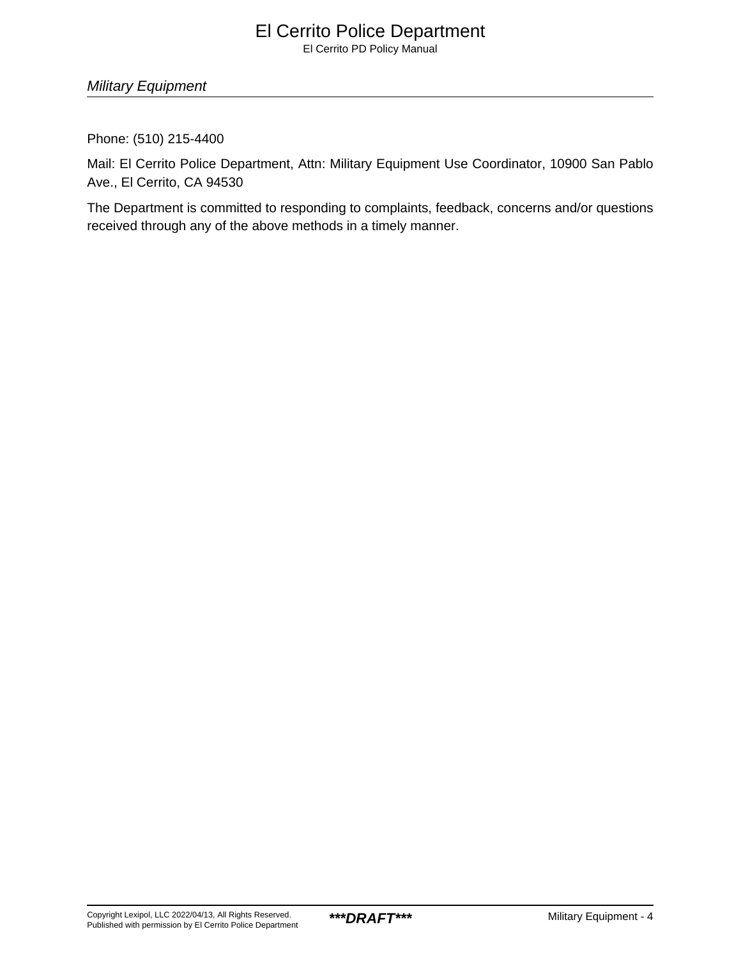## El Cerrito Police Department

El Cerrito PD Policy Manual

Military Equipment

Phone: (510) 215-4400

Mail: El Cerrito Police Department, Attn: Military Equipment Use Coordinator, 10900 San Pablo Ave., El Cerrito, CA 94530

The Department is committed to responding to complaints, feedback, concerns and/or questions received through any of the above methods in a timely manner.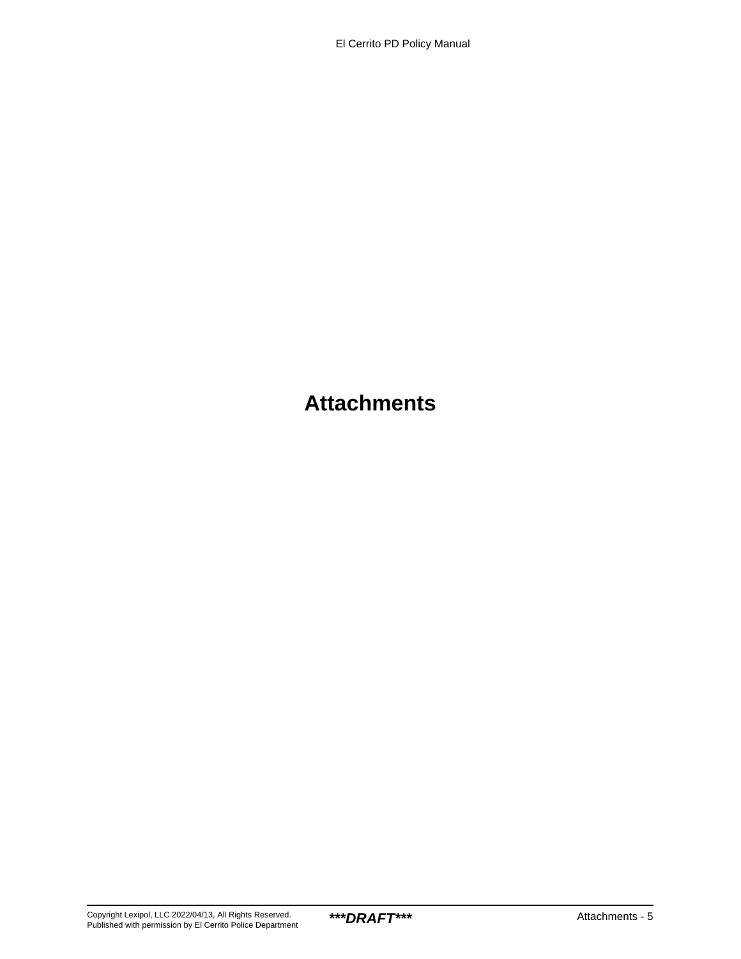## **Attachments**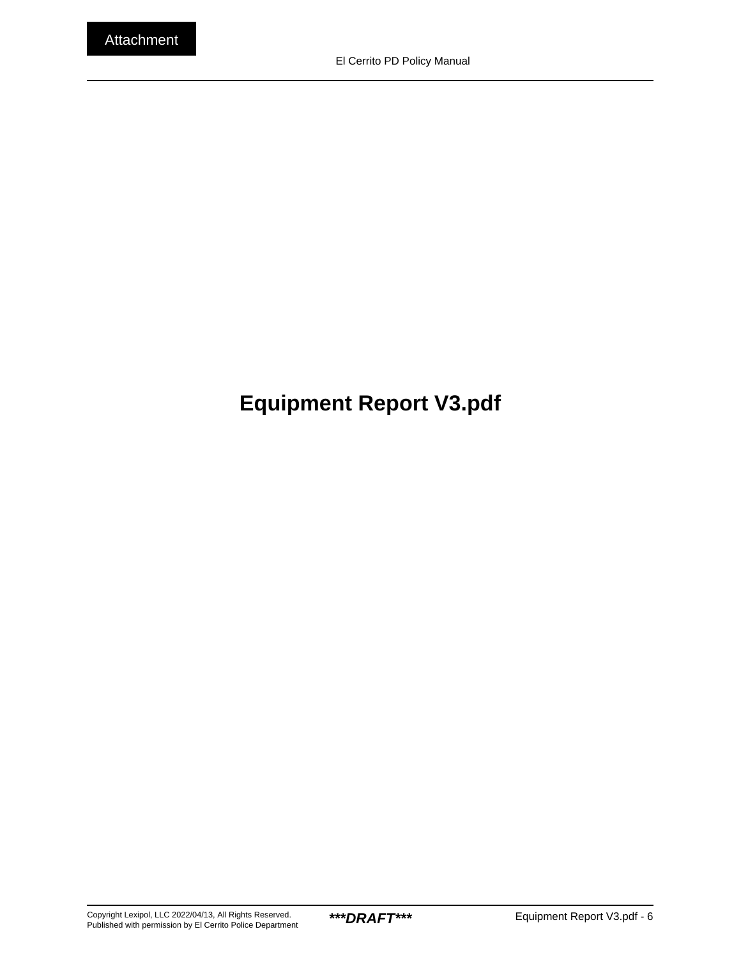# <span id="page-5-0"></span>**Equipment Report V3.pdf**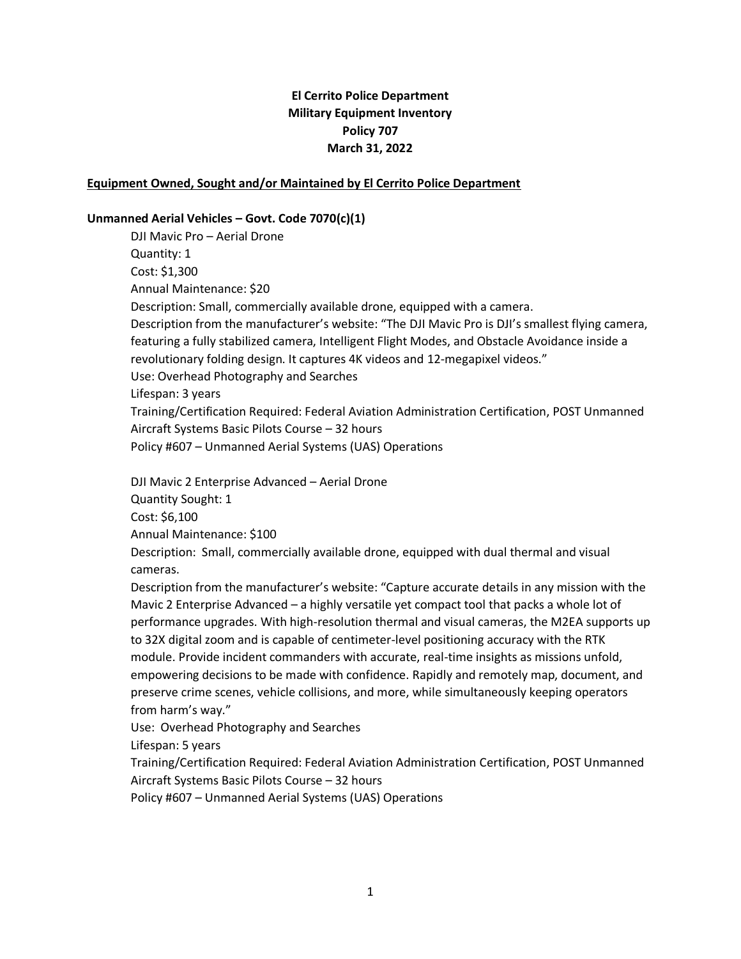## **El Cerrito Police Department Military Equipment Inventory Policy 707 March 31, 2022**

#### **Equipment Owned, Sought and/or Maintained by El Cerrito Police Department**

#### **Unmanned Aerial Vehicles – Govt. Code 7070(c)(1)**

DJI Mavic Pro – Aerial Drone Quantity: 1 Cost: \$1,300 Annual Maintenance: \$20 Description: Small, commercially available drone, equipped with a camera. Description from the manufacturer's website: "The DJI Mavic Pro is DJI's smallest flying camera, featuring a fully stabilized camera, Intelligent Flight Modes, and Obstacle Avoidance inside a revolutionary folding design. It captures 4K videos and 12-megapixel videos." Use: Overhead Photography and Searches Lifespan: 3 years Training/Certification Required: Federal Aviation Administration Certification, POST Unmanned Aircraft Systems Basic Pilots Course – 32 hours Policy #607 – Unmanned Aerial Systems (UAS) Operations

DJI Mavic 2 Enterprise Advanced – Aerial Drone Quantity Sought: 1 Cost: \$6,100 Annual Maintenance: \$100

Description: Small, commercially available drone, equipped with dual thermal and visual cameras.

Description from the manufacturer's website: "Capture accurate details in any mission with the Mavic 2 Enterprise Advanced – a highly versatile yet compact tool that packs a whole lot of performance upgrades. With high-resolution thermal and visual cameras, the M2EA supports up to 32X digital zoom and is capable of centimeter-level positioning accuracy with the RTK module. Provide incident commanders with accurate, real-time insights as missions unfold, empowering decisions to be made with confidence. Rapidly and remotely map, document, and preserve crime scenes, vehicle collisions, and more, while simultaneously keeping operators from harm's way."

Use: Overhead Photography and Searches

Lifespan: 5 years

Training/Certification Required: Federal Aviation Administration Certification, POST Unmanned Aircraft Systems Basic Pilots Course – 32 hours

Policy #607 – Unmanned Aerial Systems (UAS) Operations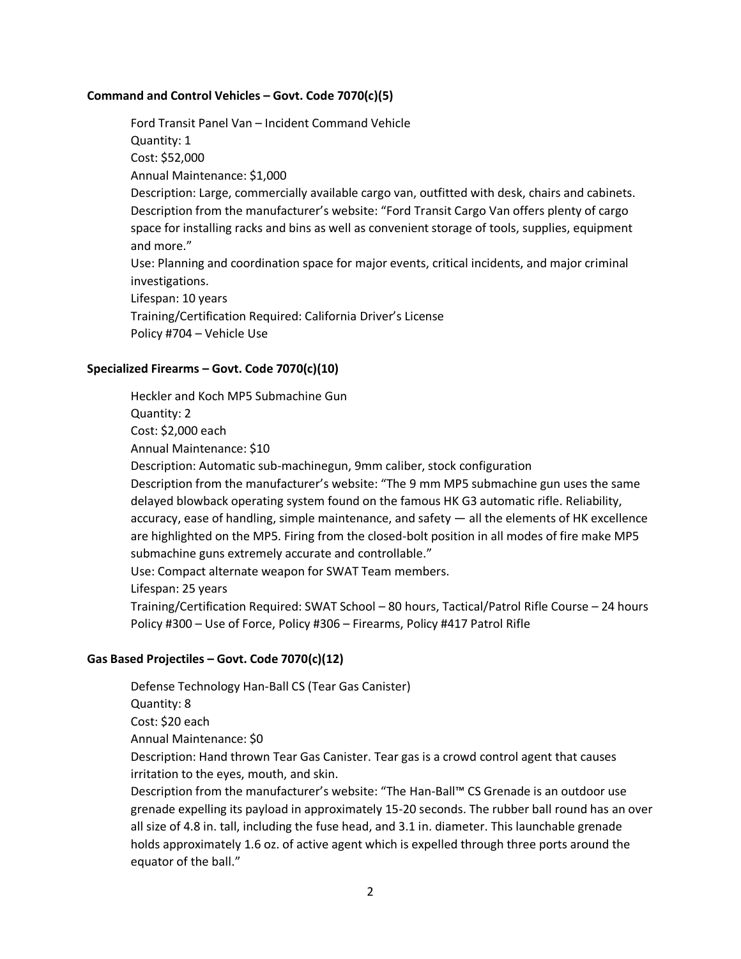#### **Command and Control Vehicles – Govt. Code 7070(c)(5)**

Ford Transit Panel Van – Incident Command Vehicle Quantity: 1 Cost: \$52,000 Annual Maintenance: \$1,000 Description: Large, commercially available cargo van, outfitted with desk, chairs and cabinets. Description from the manufacturer's website: "Ford Transit Cargo Van offers plenty of cargo space for installing racks and bins as well as convenient storage of tools, supplies, equipment and more." Use: Planning and coordination space for major events, critical incidents, and major criminal investigations. Lifespan: 10 years Training/Certification Required: California Driver's License Policy #704 – Vehicle Use

#### **Specialized Firearms – Govt. Code 7070(c)(10)**

Heckler and Koch MP5 Submachine Gun Quantity: 2

Cost: \$2,000 each

Annual Maintenance: \$10

Description: Automatic sub-machinegun, 9mm caliber, stock configuration

Description from the manufacturer's website: "The 9 mm MP5 submachine gun uses the same delayed blowback operating system found on the famous HK G3 automatic rifle. Reliability, accuracy, ease of handling, simple maintenance, and safety — all the elements of HK excellence are highlighted on the MP5. Firing from the closed-bolt position in all modes of fire make MP5 submachine guns extremely accurate and controllable."

Use: Compact alternate weapon for SWAT Team members.

Lifespan: 25 years

equator of the ball."

Training/Certification Required: SWAT School – 80 hours, Tactical/Patrol Rifle Course – 24 hours Policy #300 – Use of Force, Policy #306 – Firearms, Policy #417 Patrol Rifle

#### **Gas Based Projectiles – Govt. Code 7070(c)(12)**

Defense Technology Han-Ball CS (Tear Gas Canister) Quantity: 8 Cost: \$20 each Annual Maintenance: \$0 Description: Hand thrown Tear Gas Canister. Tear gas is a crowd control agent that causes irritation to the eyes, mouth, and skin. Description from the manufacturer's website: "The Han-Ball™ CS Grenade is an outdoor use grenade expelling its payload in approximately 15-20 seconds. The rubber ball round has an over all size of 4.8 in. tall, including the fuse head, and 3.1 in. diameter. This launchable grenade holds approximately 1.6 oz. of active agent which is expelled through three ports around the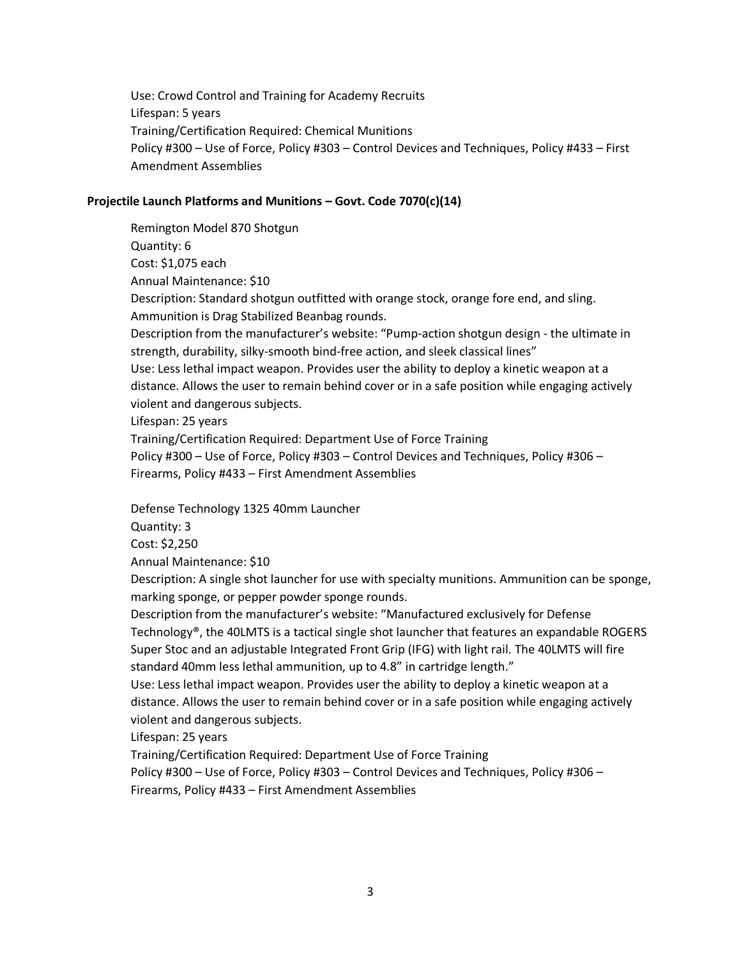Use: Crowd Control and Training for Academy Recruits Lifespan: 5 years Training/Certification Required: Chemical Munitions Policy #300 – Use of Force, Policy #303 – Control Devices and Techniques, Policy #433 – First Amendment Assemblies

#### **Projectile Launch Platforms and Munitions – Govt. Code 7070(c)(14)**

Remington Model 870 Shotgun Quantity: 6 Cost: \$1,075 each Annual Maintenance: \$10 Description: Standard shotgun outfitted with orange stock, orange fore end, and sling. Ammunition is Drag Stabilized Beanbag rounds. Description from the manufacturer's website: "Pump-action shotgun design - the ultimate in strength, durability, silky-smooth bind-free action, and sleek classical lines" Use: Less lethal impact weapon. Provides user the ability to deploy a kinetic weapon at a distance. Allows the user to remain behind cover or in a safe position while engaging actively violent and dangerous subjects. Lifespan: 25 years Training/Certification Required: Department Use of Force Training Policy #300 – Use of Force, Policy #303 – Control Devices and Techniques, Policy #306 –

Firearms, Policy #433 – First Amendment Assemblies

Defense Technology 1325 40mm Launcher

Quantity: 3

Cost: \$2,250

Annual Maintenance: \$10

Description: A single shot launcher for use with specialty munitions. Ammunition can be sponge, marking sponge, or pepper powder sponge rounds.

Description from the manufacturer's website: "Manufactured exclusively for Defense Technology®, the 40LMTS is a tactical single shot launcher that features an expandable ROGERS Super Stoc and an adjustable Integrated Front Grip (IFG) with light rail. The 40LMTS will fire standard 40mm less lethal ammunition, up to 4.8" in cartridge length."

Use: Less lethal impact weapon. Provides user the ability to deploy a kinetic weapon at a distance. Allows the user to remain behind cover or in a safe position while engaging actively violent and dangerous subjects.

Lifespan: 25 years

Training/Certification Required: Department Use of Force Training Policy #300 – Use of Force, Policy #303 – Control Devices and Techniques, Policy #306 –

Firearms, Policy #433 – First Amendment Assemblies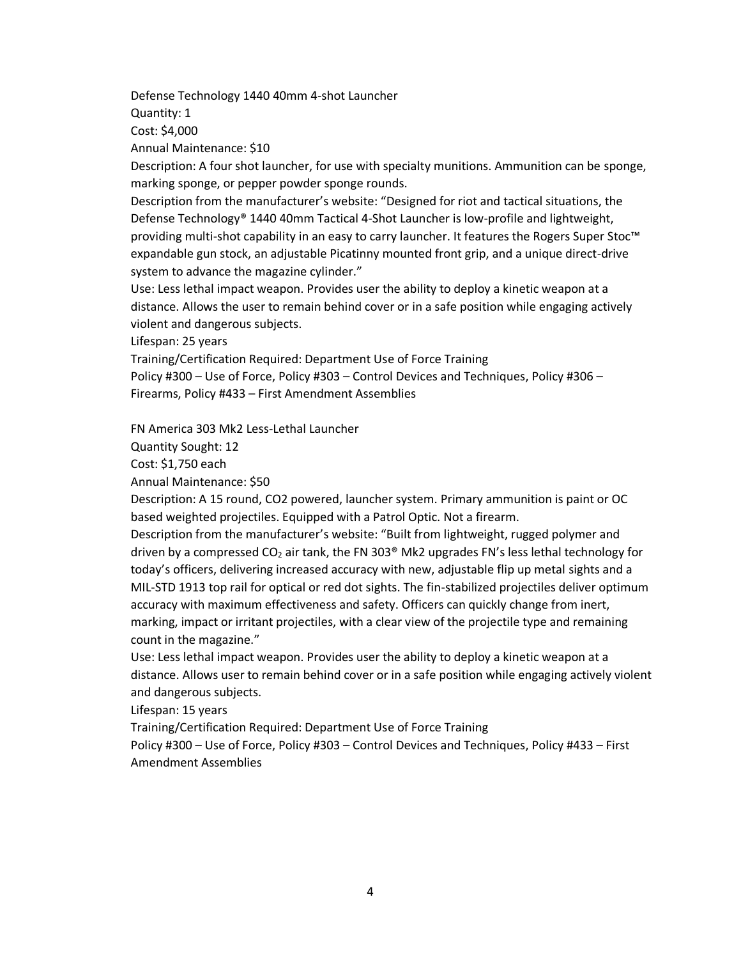Defense Technology 1440 40mm 4-shot Launcher

Quantity: 1

Cost: \$4,000

Annual Maintenance: \$10

Description: A four shot launcher, for use with specialty munitions. Ammunition can be sponge, marking sponge, or pepper powder sponge rounds.

Description from the manufacturer's website: "Designed for riot and tactical situations, the Defense Technology® 1440 40mm Tactical 4-Shot Launcher is low-profile and lightweight, providing multi-shot capability in an easy to carry launcher. It features the Rogers Super Stoc™ expandable gun stock, an adjustable Picatinny mounted front grip, and a unique direct-drive system to advance the magazine cylinder."

Use: Less lethal impact weapon. Provides user the ability to deploy a kinetic weapon at a distance. Allows the user to remain behind cover or in a safe position while engaging actively violent and dangerous subjects.

Lifespan: 25 years

Training/Certification Required: Department Use of Force Training Policy #300 – Use of Force, Policy #303 – Control Devices and Techniques, Policy #306 – Firearms, Policy #433 – First Amendment Assemblies

FN America 303 Mk2 Less-Lethal Launcher

Quantity Sought: 12

Cost: \$1,750 each

Annual Maintenance: \$50

Description: A 15 round, CO2 powered, launcher system. Primary ammunition is paint or OC based weighted projectiles. Equipped with a Patrol Optic. Not a firearm.

Description from the manufacturer's website: "Built from lightweight, rugged polymer and driven by a compressed  $CO<sub>2</sub>$  air tank, the FN 303<sup>®</sup> Mk2 upgrades FN's less lethal technology for today's officers, delivering increased accuracy with new, adjustable flip up metal sights and a MIL-STD 1913 top rail for optical or red dot sights. The fin-stabilized projectiles deliver optimum accuracy with maximum effectiveness and safety. Officers can quickly change from inert, marking, impact or irritant projectiles, with a clear view of the projectile type and remaining count in the magazine."

Use: Less lethal impact weapon. Provides user the ability to deploy a kinetic weapon at a distance. Allows user to remain behind cover or in a safe position while engaging actively violent and dangerous subjects.

Lifespan: 15 years

Training/Certification Required: Department Use of Force Training

Policy #300 – Use of Force, Policy #303 – Control Devices and Techniques, Policy #433 – First Amendment Assemblies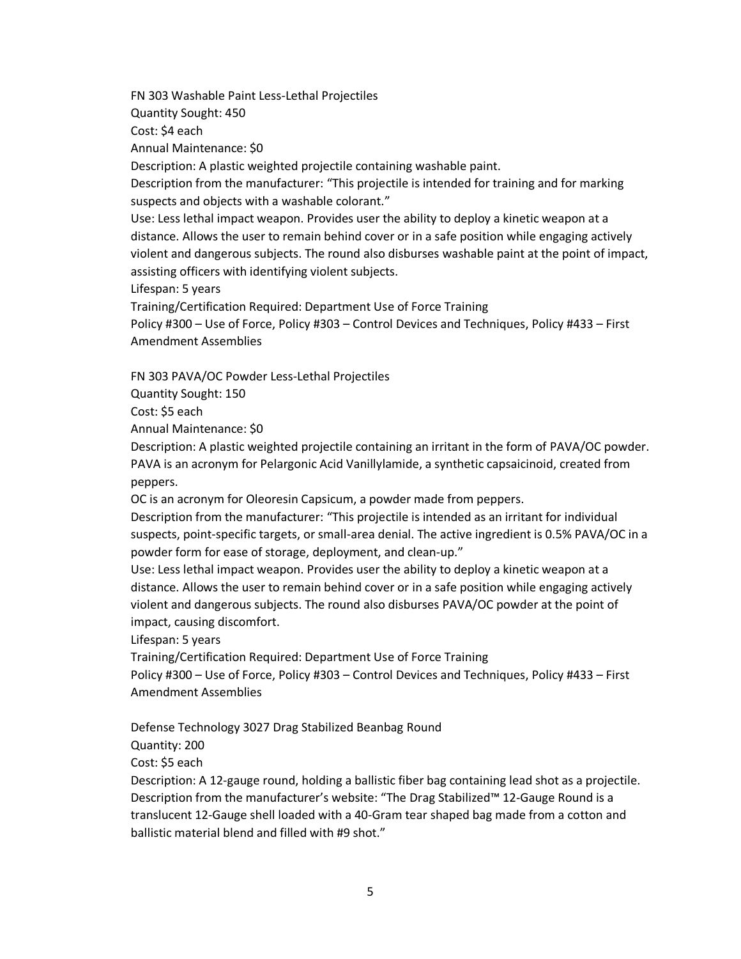FN 303 Washable Paint Less-Lethal Projectiles

Quantity Sought: 450

Cost: \$4 each

Annual Maintenance: \$0

Description: A plastic weighted projectile containing washable paint.

Description from the manufacturer: "This projectile is intended for training and for marking suspects and objects with a washable colorant."

Use: Less lethal impact weapon. Provides user the ability to deploy a kinetic weapon at a distance. Allows the user to remain behind cover or in a safe position while engaging actively violent and dangerous subjects. The round also disburses washable paint at the point of impact, assisting officers with identifying violent subjects.

Lifespan: 5 years

Training/Certification Required: Department Use of Force Training

Policy #300 – Use of Force, Policy #303 – Control Devices and Techniques, Policy #433 – First Amendment Assemblies

FN 303 PAVA/OC Powder Less-Lethal Projectiles

Quantity Sought: 150

Cost: \$5 each

Annual Maintenance: \$0

Description: A plastic weighted projectile containing an irritant in the form of PAVA/OC powder. PAVA is an acronym for Pelargonic Acid Vanillylamide, a synthetic capsaicinoid, created from peppers.

OC is an acronym for Oleoresin Capsicum, a powder made from peppers.

Description from the manufacturer: "This projectile is intended as an irritant for individual suspects, point-specific targets, or small-area denial. The active ingredient is 0.5% PAVA/OC in a powder form for ease of storage, deployment, and clean-up."

Use: Less lethal impact weapon. Provides user the ability to deploy a kinetic weapon at a distance. Allows the user to remain behind cover or in a safe position while engaging actively violent and dangerous subjects. The round also disburses PAVA/OC powder at the point of impact, causing discomfort.

Lifespan: 5 years

Training/Certification Required: Department Use of Force Training

Policy #300 – Use of Force, Policy #303 – Control Devices and Techniques, Policy #433 – First Amendment Assemblies

Defense Technology 3027 Drag Stabilized Beanbag Round

Quantity: 200

Cost: \$5 each

Description: A 12-gauge round, holding a ballistic fiber bag containing lead shot as a projectile. Description from the manufacturer's website: "The Drag Stabilized™ 12-Gauge Round is a translucent 12-Gauge shell loaded with a 40-Gram tear shaped bag made from a cotton and ballistic material blend and filled with #9 shot."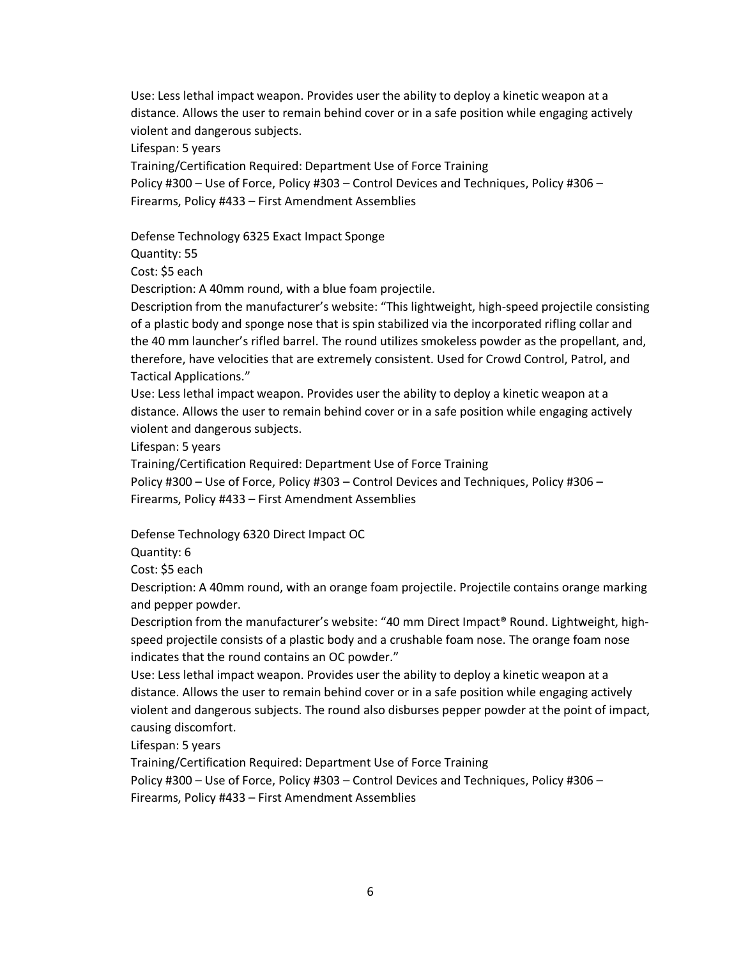Use: Less lethal impact weapon. Provides user the ability to deploy a kinetic weapon at a distance. Allows the user to remain behind cover or in a safe position while engaging actively violent and dangerous subjects.

Lifespan: 5 years

Training/Certification Required: Department Use of Force Training Policy #300 – Use of Force, Policy #303 – Control Devices and Techniques, Policy #306 – Firearms, Policy #433 – First Amendment Assemblies

Defense Technology 6325 Exact Impact Sponge

Quantity: 55

Cost: \$5 each

Description: A 40mm round, with a blue foam projectile.

Description from the manufacturer's website: "This lightweight, high-speed projectile consisting of a plastic body and sponge nose that is spin stabilized via the incorporated rifling collar and the 40 mm launcher's rifled barrel. The round utilizes smokeless powder as the propellant, and, therefore, have velocities that are extremely consistent. Used for Crowd Control, Patrol, and Tactical Applications."

Use: Less lethal impact weapon. Provides user the ability to deploy a kinetic weapon at a distance. Allows the user to remain behind cover or in a safe position while engaging actively violent and dangerous subjects.

Lifespan: 5 years

Training/Certification Required: Department Use of Force Training

Policy #300 – Use of Force, Policy #303 – Control Devices and Techniques, Policy #306 – Firearms, Policy #433 – First Amendment Assemblies

Defense Technology 6320 Direct Impact OC

Quantity: 6

Cost: \$5 each

Description: A 40mm round, with an orange foam projectile. Projectile contains orange marking and pepper powder.

Description from the manufacturer's website: "40 mm Direct Impact® Round. Lightweight, highspeed projectile consists of a plastic body and a crushable foam nose. The orange foam nose indicates that the round contains an OC powder."

Use: Less lethal impact weapon. Provides user the ability to deploy a kinetic weapon at a distance. Allows the user to remain behind cover or in a safe position while engaging actively violent and dangerous subjects. The round also disburses pepper powder at the point of impact, causing discomfort.

Lifespan: 5 years

Training/Certification Required: Department Use of Force Training

Policy #300 – Use of Force, Policy #303 – Control Devices and Techniques, Policy #306 – Firearms, Policy #433 – First Amendment Assemblies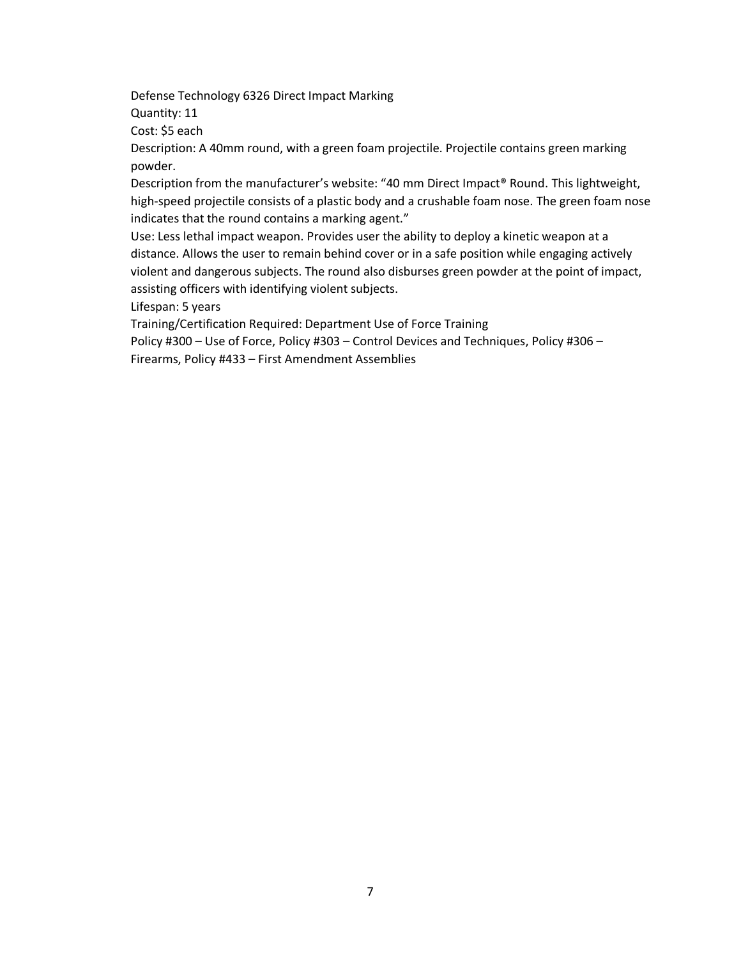Defense Technology 6326 Direct Impact Marking

Quantity: 11

Cost: \$5 each

Description: A 40mm round, with a green foam projectile. Projectile contains green marking powder.

Description from the manufacturer's website: "40 mm Direct Impact® Round. This lightweight, high-speed projectile consists of a plastic body and a crushable foam nose. The green foam nose indicates that the round contains a marking agent."

Use: Less lethal impact weapon. Provides user the ability to deploy a kinetic weapon at a distance. Allows the user to remain behind cover or in a safe position while engaging actively violent and dangerous subjects. The round also disburses green powder at the point of impact, assisting officers with identifying violent subjects.

Lifespan: 5 years

Training/Certification Required: Department Use of Force Training

Policy #300 – Use of Force, Policy #303 – Control Devices and Techniques, Policy #306 –

Firearms, Policy #433 – First Amendment Assemblies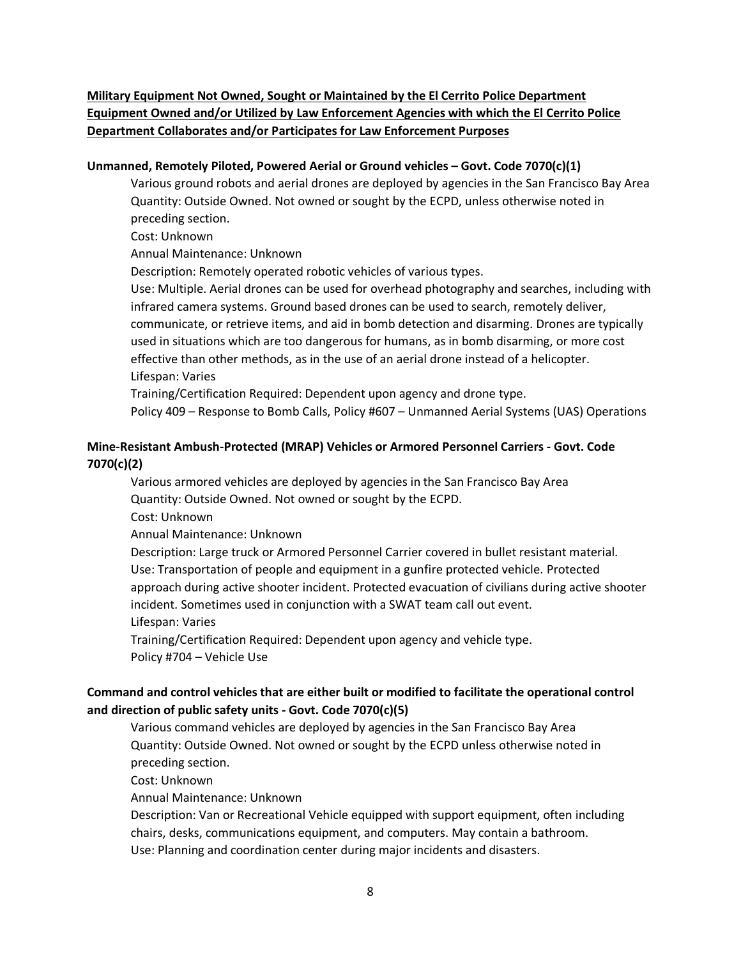**Military Equipment Not Owned, Sought or Maintained by the El Cerrito Police Department Equipment Owned and/or Utilized by Law Enforcement Agencies with which the El Cerrito Police Department Collaborates and/or Participates for Law Enforcement Purposes**

#### **Unmanned, Remotely Piloted, Powered Aerial or Ground vehicles – Govt. Code 7070(c)(1)**

Various ground robots and aerial drones are deployed by agencies in the San Francisco Bay Area Quantity: Outside Owned. Not owned or sought by the ECPD, unless otherwise noted in preceding section.

Cost: Unknown

Annual Maintenance: Unknown

Description: Remotely operated robotic vehicles of various types.

Use: Multiple. Aerial drones can be used for overhead photography and searches, including with infrared camera systems. Ground based drones can be used to search, remotely deliver, communicate, or retrieve items, and aid in bomb detection and disarming. Drones are typically used in situations which are too dangerous for humans, as in bomb disarming, or more cost effective than other methods, as in the use of an aerial drone instead of a helicopter. Lifespan: Varies

Training/Certification Required: Dependent upon agency and drone type.

Policy 409 – Response to Bomb Calls, Policy #607 – Unmanned Aerial Systems (UAS) Operations

#### **Mine-Resistant Ambush-Protected (MRAP) Vehicles or Armored Personnel Carriers - Govt. Code 7070(c)(2)**

Various armored vehicles are deployed by agencies in the San Francisco Bay Area Quantity: Outside Owned. Not owned or sought by the ECPD.

Cost: Unknown

Annual Maintenance: Unknown

Description: Large truck or Armored Personnel Carrier covered in bullet resistant material. Use: Transportation of people and equipment in a gunfire protected vehicle. Protected approach during active shooter incident. Protected evacuation of civilians during active shooter incident. Sometimes used in conjunction with a SWAT team call out event.

Lifespan: Varies

Training/Certification Required: Dependent upon agency and vehicle type. Policy #704 – Vehicle Use

## **Command and control vehicles that are either built or modified to facilitate the operational control and direction of public safety units - Govt. Code 7070(c)(5)**

Various command vehicles are deployed by agencies in the San Francisco Bay Area Quantity: Outside Owned. Not owned or sought by the ECPD unless otherwise noted in preceding section.

Cost: Unknown

Annual Maintenance: Unknown

Description: Van or Recreational Vehicle equipped with support equipment, often including chairs, desks, communications equipment, and computers. May contain a bathroom. Use: Planning and coordination center during major incidents and disasters.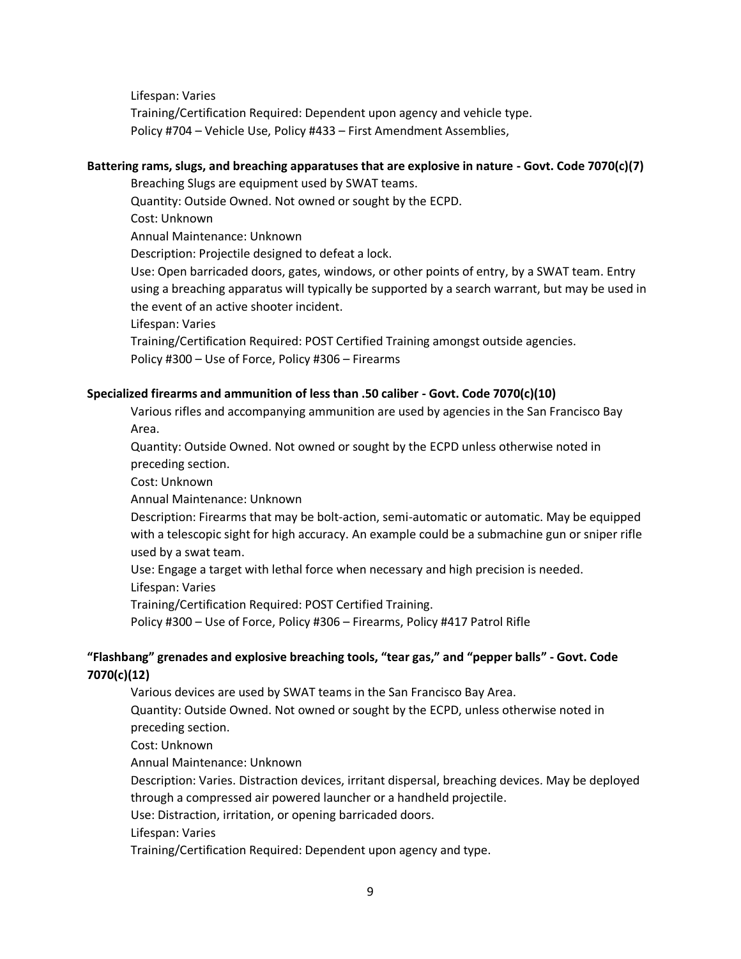Lifespan: Varies Training/Certification Required: Dependent upon agency and vehicle type. Policy #704 – Vehicle Use, Policy #433 – First Amendment Assemblies,

#### **Battering rams, slugs, and breaching apparatuses that are explosive in nature - Govt. Code 7070(c)(7)**

Breaching Slugs are equipment used by SWAT teams.

Quantity: Outside Owned. Not owned or sought by the ECPD.

Cost: Unknown

Annual Maintenance: Unknown

Description: Projectile designed to defeat a lock.

Use: Open barricaded doors, gates, windows, or other points of entry, by a SWAT team. Entry using a breaching apparatus will typically be supported by a search warrant, but may be used in the event of an active shooter incident.

Lifespan: Varies

Training/Certification Required: POST Certified Training amongst outside agencies. Policy #300 – Use of Force, Policy #306 – Firearms

#### **Specialized firearms and ammunition of less than .50 caliber - Govt. Code 7070(c)(10)**

Various rifles and accompanying ammunition are used by agencies in the San Francisco Bay Area.

Quantity: Outside Owned. Not owned or sought by the ECPD unless otherwise noted in preceding section.

Cost: Unknown

Annual Maintenance: Unknown

Description: Firearms that may be bolt-action, semi-automatic or automatic. May be equipped with a telescopic sight for high accuracy. An example could be a submachine gun or sniper rifle used by a swat team.

Use: Engage a target with lethal force when necessary and high precision is needed.

Lifespan: Varies

Training/Certification Required: POST Certified Training.

Policy #300 – Use of Force, Policy #306 – Firearms, Policy #417 Patrol Rifle

## **"Flashbang" grenades and explosive breaching tools, "tear gas," and "pepper balls" - Govt. Code 7070(c)(12)**

Various devices are used by SWAT teams in the San Francisco Bay Area.

Quantity: Outside Owned. Not owned or sought by the ECPD, unless otherwise noted in preceding section.

Cost: Unknown

Annual Maintenance: Unknown

Description: Varies. Distraction devices, irritant dispersal, breaching devices. May be deployed through a compressed air powered launcher or a handheld projectile.

Use: Distraction, irritation, or opening barricaded doors.

Lifespan: Varies

Training/Certification Required: Dependent upon agency and type.